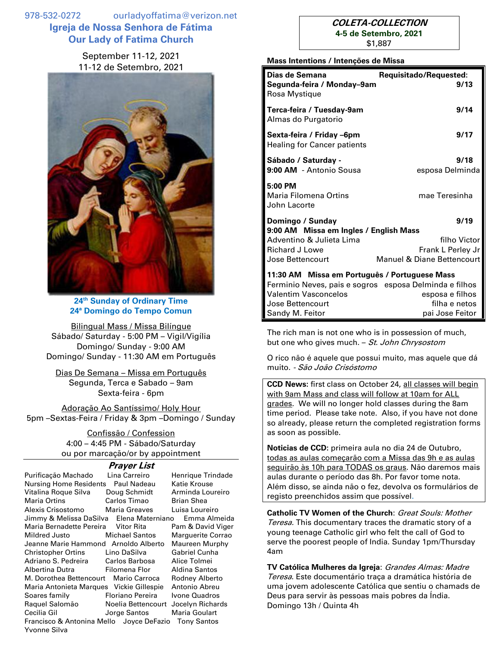978-532-0272 ourladyoffatima@verizon.net **Igreja de Nossa Senhora de Fátima Our Lady of Fatima Church**

> September 11-12, 2021 11-12 de Setembro, 2021



**24 th Sunday of Ordinary Time 24ª Domingo do Tempo Comun**

Bilingual Mass / Missa Bilíngue Sábado/ Saturday - 5:00 PM – Vigil/Vigília Domingo/ Sunday - 9:00 AM Domingo/ Sunday - 11:30 AM em Português

Dias De Semana – Missa em Português Segunda, Terca e Sabado – 9am Sexta-feira - 6pm

Adoração Ao Santíssimo/ Holy Hour 5pm –Sextas-Feira / Friday & 3pm –Domingo / Sunday

> Confissão / Confession 4:00 – 4:45 PM - Sábado/Saturday ou por marcação/or by appointment

#### **Prayer List**

| Purificação Machado                                            | Lina Carreiro           | Henrique Trindade     |  |
|----------------------------------------------------------------|-------------------------|-----------------------|--|
| <b>Nursing Home Residents</b>                                  | Paul Nadeau             | Katie Krouse          |  |
| Vitalina Roque Silva                                           | Doug Schmidt            | Arminda Loureiro      |  |
| <b>Maria Ortins</b>                                            | Carlos Timao            | <b>Brian Shea</b>     |  |
| Alexis Crisostomo                                              | Maria Greaves           | Luisa Loureiro        |  |
| Jimmy & Melissa DaSilva Elena Materniano<br>Emma Almeida       |                         |                       |  |
| Maria Bernadette Pereira Vitor Rita                            |                         | Pam & David Viger     |  |
| Mildred Justo                                                  | <b>Michael Santos</b>   | Marguerite Corrao     |  |
| Jeanne Marie Hammond Arnoldo Alberto                           |                         | Maureen Murphy        |  |
| Christopher Ortins                                             | Lino DaSilva            | Gabriel Cunha         |  |
|                                                                |                         | Alice Tolmei          |  |
| Albertina Dutra                                                | Filomena Flor           | Aldina Santos         |  |
| M. Dorothea Bettencourt                                        | Mario Carroca           | <b>Rodney Alberto</b> |  |
| Maria Antonieta Marques Vickie Gillespie                       |                         | Antonio Abreu         |  |
| Soares family                                                  | <b>Floriano Pereira</b> | Ivone Quadros         |  |
| Raquel Salomão                                                 | Noelia Bettencourt      | Jocelyn Richards      |  |
| Cecilia Gil                                                    | Jorge Santos            | Maria Goulart         |  |
| Francisco & Antonina Mello Joyce DeFazio<br><b>Tony Santos</b> |                         |                       |  |
| Yvonne Silva                                                   |                         |                       |  |

# **COLETA-COLLECTION 4-5 de Setembro, 2021** \$1,887

#### **Mass Intentions / Intenções de Missa**

| Dias de Semana                                                  |                                       |  |  |
|-----------------------------------------------------------------|---------------------------------------|--|--|
| Segunda-feira / Monday-9am<br>Rosa Mystique                     | <b>Requisitado/Requested:</b><br>9/13 |  |  |
| Terca-feira / Tuesday-9am<br>Almas do Purgatorio                | 9/14                                  |  |  |
| Sexta-feira / Friday -6pm<br><b>Healing for Cancer patients</b> | 9/17                                  |  |  |
| Sábado / Saturday -<br>9:00 AM - Antonio Sousa                  | 9/18<br>esposa Delminda               |  |  |
| 5:00 PM<br>Maria Filomena Ortins<br>John Lacorte                | mae Teresinha                         |  |  |
| Domingo / Sunday                                                | 9/19                                  |  |  |
| 9:00 AM Missa em Ingles / English Mass                          |                                       |  |  |
| Adventino & Julieta Lima                                        | filho Victor                          |  |  |
| <b>Richard J Lowe</b>                                           | Frank L Perley Jr                     |  |  |
| Jose Bettencourt                                                | Manuel & Diane Bettencourt            |  |  |
| 11:30 AM Missa em Português / Portuguese Mass                   |                                       |  |  |
| Ferminio Neves, pais e sogros esposa Delminda e filhos          |                                       |  |  |
| Valentim Vasconcelos                                            | esposa e filhos                       |  |  |
| Jose Bettencourt                                                | filha e netos                         |  |  |

The rich man is not one who is in possession of much, but one who gives much. – St. John Chrysostom

O rico não é aquele que possui muito, mas aquele que dá muito. - São João Crisóstomo

Sandy M. Feitor **pai Jose Feitor** pai Jose Feitor

**CCD News:** first class on October 24, all classes will begin with 9am Mass and class will follow at 10am for ALL grades. We will no longer hold classes during the 8am time period. Please take note. Also, if you have not done so already, please return the completed registration forms as soon as possible.

**Noticias de CCD:** primeira aula no dia 24 de Outubro, todas as aulas começarão com a Missa das 9h e as aulas seguirão às 10h para TODAS os graus. Não daremos mais aulas durante o período das 8h. Por favor tome nota. Além disso, se ainda não o fez, devolva os formulários de registo preenchidos assim que possível.

**Catholic TV Women of the Church**: Great Souls: Mother Teresa. This documentary traces the dramatic story of a young teenage Catholic girl who felt the call of God to serve the poorest people of India. Sunday 1pm/Thursday 4am

**TV Católica Mulheres da Igreja**: Grandes Almas: Madre Teresa. Este documentário traça a dramática história de uma jovem adolescente Católica que sentiu o chamads de Deus para servir às pessoas mais pobres da Índia. Domingo 13h / Quinta 4h